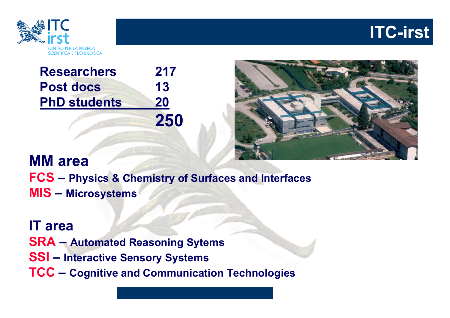



| <b>Researchers</b>  | 217 |
|---------------------|-----|
| <b>Post docs</b>    | 13  |
| <b>PhD students</b> | 20  |
|                     | 250 |



## **MM areaFCS – Physics & Chemistry of Surfaces and Interfaces MIS – Microsystems**

**IT areaSRA – Automated Reasoning Sytems SSI – Interactive Sensory Systems TCC – Cognitive and Communication Technologies**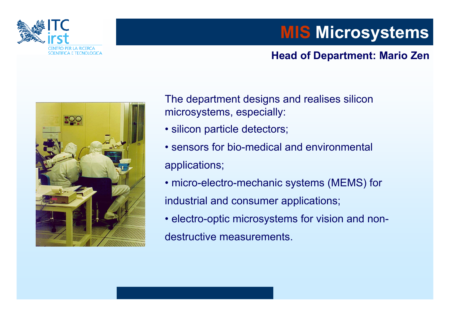

# **MIS Microsystems**

#### **Head of Department: Mario Zen**



The department designs and realises silicon microsystems, especially:

- silicon particle detectors;
- sensors for bio-medical and environmental applications;
- micro-electro-mechanic systems (MEMS) for industrial and consumer applications;
- electro-optic microsystems for vision and nondestructive measurements.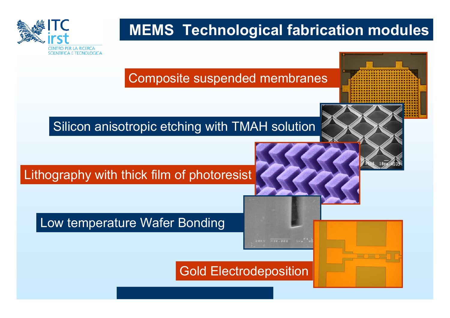

## **MEMS Technological fabrication modules**



Low temperature Wafer Bonding

Gold Electrodeposition

20KU X30,000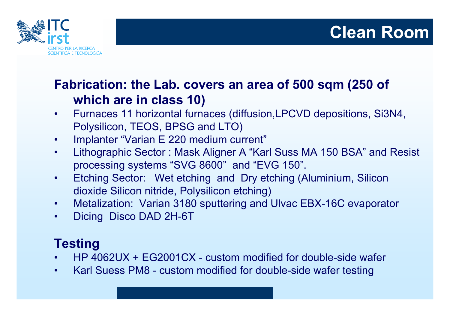

## **Clean Room**

## **Fabrication: the Lab. covers an area of 500 sqm (250 of which are in class 10)**

- $\bullet$  Furnaces 11 horizontal furnaces (diffusion,LPCVD depositions, Si3N4, Polysilicon, TEOS, BPSG and LTO)
- •Implanter "Varian E 220 medium current"
- • Lithographic Sector : Mask Aligner A "Karl Suss MA 150 BSA" and Resist processing systems "SVG 8600" and "EVG 150".
- • Etching Sector: Wet etching and Dry etching (Aluminium, Silicon dioxide Silicon nitride, Polysilicon etching)
- •Metalization: Varian 3180 sputtering and Ulvac EBX-16C evaporator
- •Dicing Disco DAD 2H-6T

## **Testing**

- •HP 4062UX + EG2001CX - custom modified for double-side wafer
- •Karl Suess PM8 - custom modified for double-side wafer testing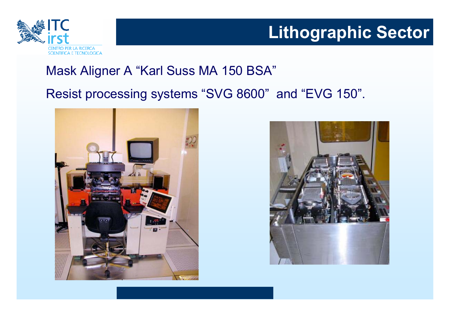

# **Lithographic Sector**

## Mask Aligner A "Karl Suss MA 150 BSA"

#### Resist processing systems "SVG 8600" and "EVG 150".



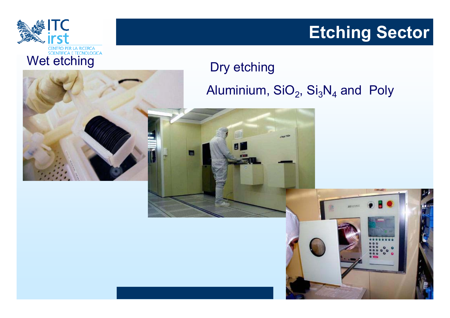

# **Etching Sector**

## Dry etching Aluminium, SiO $_{2}$ , Si $_{3}$ N $_{4}$  and Poly



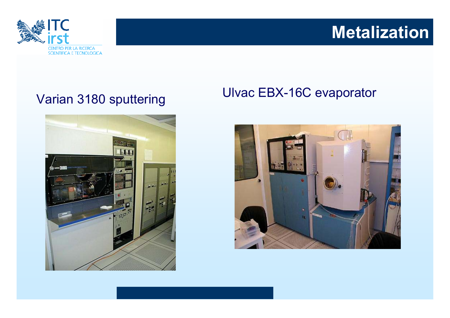

# **Metalization**



# Varian 3180 sputtering Ulvac EBX-16C evaporator

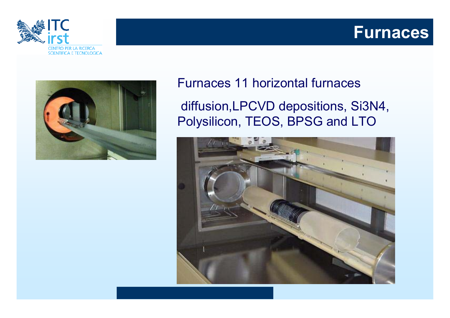





### Furnaces 11 horizontal furnaces

diffusion,LPCVD depositions, Si3N4, Polysilicon, TEOS, BPSG and LTO

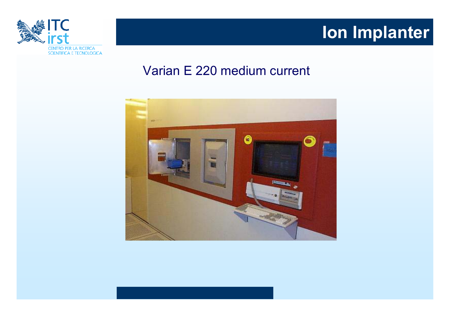

# **Ion Implanter**

### Varian E 220 medium current

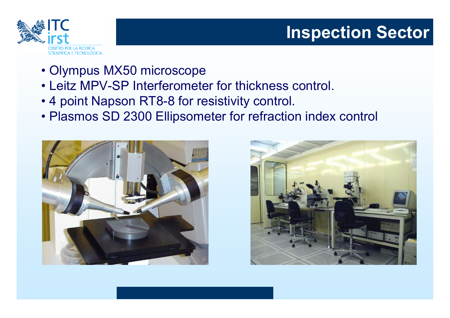

# **Inspection Sector**

- Olympus MX50 microscope
- Leitz MPV-SP Interferometer for thickness control.
- 4 point Napson RT8-8 for resistivity control.
- Plasmos SD 2300 Ellipsometer for refraction index control



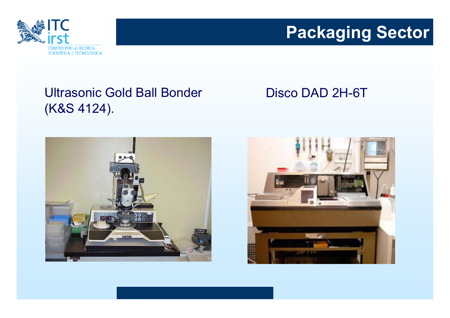

# **Packaging Sector**

## Ultrasonic Gold Ball Bonder (K&S 4124).

### Disco DAD 2H-6T



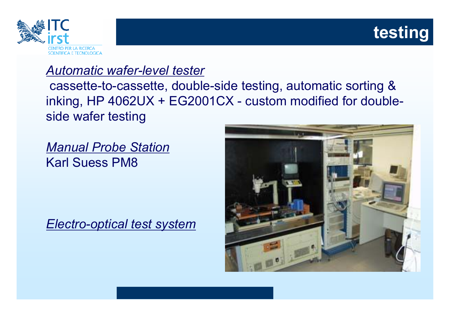

# **testing**

## *Automatic wafer-level tester*

cassette-to-cassette, double-side testing, automatic sorting & inking, HP 4062UX + EG2001CX - custom modified for doubleside wafer testing

*Manual Probe Station* Karl Suess PM8

*Electro-optical test system*